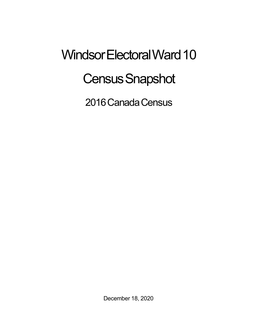## Windsor Electoral Ward 10 **Census Snapshot**

2016 Canada Census

December 18, 2020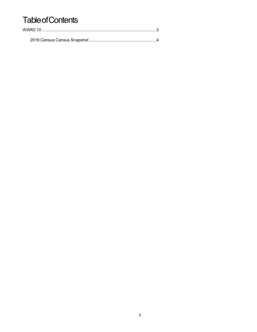## **Table of Contents**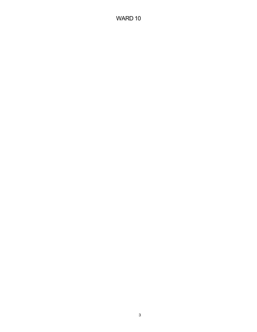## WARD 10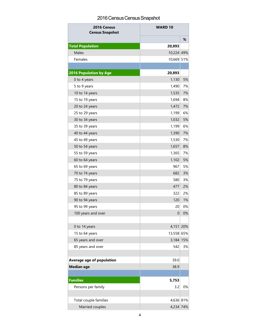## 2016 Census Census Snapshot

| 2016 Census<br><b>Census Snapshot</b> | <b>WARD 10</b> |    |
|---------------------------------------|----------------|----|
|                                       |                | ℅  |
| <b>Total Population</b>               | 20,893         |    |
| Males                                 | 10,224 49%     |    |
| Females                               | 10,669 51%     |    |
|                                       |                |    |
| <b>2016 Population by Age</b>         | 20,893         |    |
| 0 to 4 years                          | 1,130          | 5% |
| 5 to 9 years                          | 1,490          | 7% |
| 10 to 14 years                        | 1,535          | 7% |
| 15 to 19 years                        | 1,694          | 8% |
| 20 to 24 years                        | 1,472          | 7% |
| 25 to 29 years                        | 1,199          | 6% |
| 30 to 34 years                        | 1,032          | 5% |
| 35 to 39 years                        | 1,199          | 6% |
| 40 to 44 years                        | 1,390          | 7% |
| 45 to 49 years                        | 1,530          | 7% |
| 50 to 54 years                        | 1,657          | 8% |
| 55 to 59 years                        | 1,365          | 7% |
| 60 to 64 years                        | 1,102          | 5% |
| 65 to 69 years                        | 967            | 5% |
| 70 to 74 years                        | 682            | 3% |
| 75 to 79 years                        | 580            | 3% |
| 80 to 84 years                        | 477            | 2% |
| 85 to 89 years                        | 322            | 2% |
| 90 to 94 years                        | 120            | 1% |
| 95 to 99 years                        | 20             | 0% |
| 100 years and over                    | $\mathbf 0$    | 0% |
|                                       |                |    |
| 0 to 14 years                         | 4,151 20%      |    |
| 15 to 64 years                        | 13,558 65%     |    |
| 65 years and over                     | 3,184 15%      |    |
| 85 years and over                     | 542            | 3% |
|                                       |                |    |
| Average age of population             | 39.0           |    |
| <b>Median age</b>                     | 38.9           |    |
|                                       |                |    |
| <b>Families</b>                       | 5,753          |    |
| Persons per family                    | 3.2            | 0% |
|                                       |                |    |
| Total couple families                 | 4,636 81%      |    |
| Married couples                       | 4,234 74%      |    |